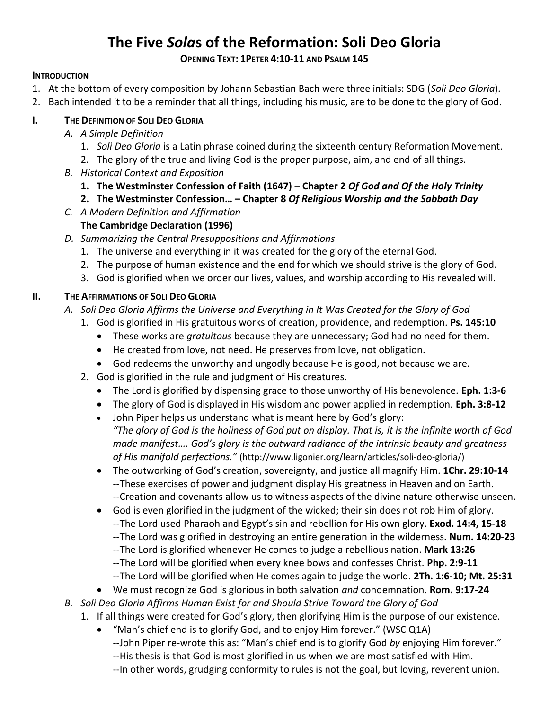# **The Five** *Sola***s of the Reformation: Soli Deo Gloria**

### **OPENING TEXT: 1PETER 4:10-11 AND PSALM 145**

### **INTRODUCTION**

- 1. At the bottom of every composition by Johann Sebastian Bach were three initials: SDG (*Soli Deo Gloria*).
- 2. Bach intended it to be a reminder that all things, including his music, are to be done to the glory of God.

## **I. THE DEFINITION OF SOLI DEO GLORIA**

- *A. A Simple Definition*
	- 1. *Soli Deo Gloria* is a Latin phrase coined during the sixteenth century Reformation Movement.
	- 2. The glory of the true and living God is the proper purpose, aim, and end of all things.
- *B. Historical Context and Exposition*
	- **1. The Westminster Confession of Faith (1647) – Chapter 2** *Of God and Of the Holy Trinity*
	- **2. The Westminster Confession… – Chapter 8** *Of Religious Worship and the Sabbath Day*
- *C. A Modern Definition and Affirmation* **The Cambridge Declaration (1996)**
- *D. Summarizing the Central Presuppositions and Affirmations*
	- 1. The universe and everything in it was created for the glory of the eternal God.
	- 2. The purpose of human existence and the end for which we should strive is the glory of God.
	- 3. God is glorified when we order our lives, values, and worship according to His revealed will.

### **II. THE AFFIRMATIONS OF SOLI DEO GLORIA**

- *A. Soli Deo Gloria Affirms the Universe and Everything in It Was Created for the Glory of God*
	- 1. God is glorified in His gratuitous works of creation, providence, and redemption. **Ps. 145:10**
		- These works are *gratuitous* because they are unnecessary; God had no need for them.
		- He created from love, not need. He preserves from love, not obligation.
		- God redeems the unworthy and ungodly because He is good, not because we are.
	- 2. God is glorified in the rule and judgment of His creatures.
		- The Lord is glorified by dispensing grace to those unworthy of His benevolence. **Eph. 1:3-6**
		- The glory of God is displayed in His wisdom and power applied in redemption. **Eph. 3:8-12**
		- John Piper helps us understand what is meant here by God's glory: *"The glory of God is the holiness of God put on display. That is, it is the infinite worth of God made manifest…. God's glory is the outward radiance of the intrinsic beauty and greatness of His manifold perfections."* (http://www.ligonier.org/learn/articles/soli-deo-gloria/)
		- The outworking of God's creation, sovereignty, and justice all magnify Him. **1Chr. 29:10-14** --These exercises of power and judgment display His greatness in Heaven and on Earth. --Creation and covenants allow us to witness aspects of the divine nature otherwise unseen.
		- God is even glorified in the judgment of the wicked; their sin does not rob Him of glory. --The Lord used Pharaoh and Egypt's sin and rebellion for His own glory. **Exod. 14:4, 15-18** --The Lord was glorified in destroying an entire generation in the wilderness. **Num. 14:20-23** --The Lord is glorified whenever He comes to judge a rebellious nation. **Mark 13:26** --The Lord will be glorified when every knee bows and confesses Christ. **Php. 2:9-11** --The Lord will be glorified when He comes again to judge the world. **2Th. 1:6-10; Mt. 25:31**
		- We must recognize God is glorious in both salvation *and* condemnation. **Rom. 9:17-24**
- *B. Soli Deo Gloria Affirms Human Exist for and Should Strive Toward the Glory of God*
	- 1. If all things were created for God's glory, then glorifying Him is the purpose of our existence.
		- "Man's chief end is to glorify God, and to enjoy Him forever." (WSC Q1A) --John Piper re-wrote this as: "Man's chief end is to glorify God *by* enjoying Him forever." --His thesis is that God is most glorified in us when we are most satisfied with Him. --In other words, grudging conformity to rules is not the goal, but loving, reverent union.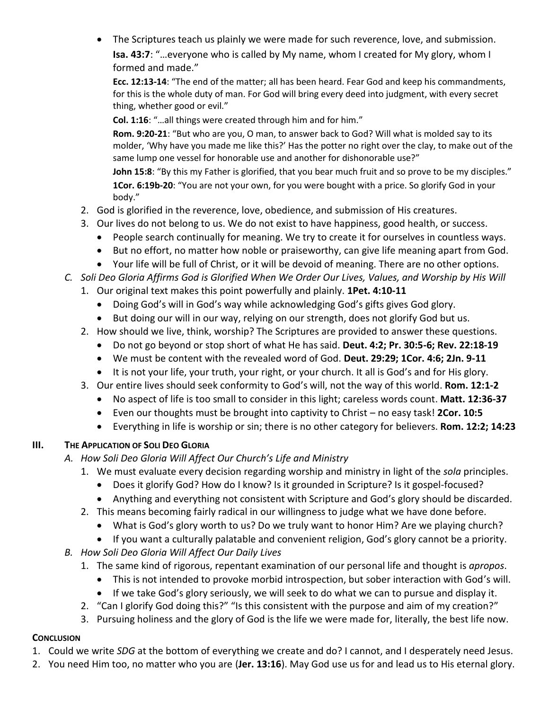The Scriptures teach us plainly we were made for such reverence, love, and submission. **Isa. 43:7**: "…everyone who is called by My name, whom I created for My glory, whom I formed and made."

**Ecc. 12:13-14**: "The end of the matter; all has been heard. Fear God and keep his commandments, for this is the whole duty of man. For God will bring every deed into judgment, with every secret thing, whether good or evil."

**Col. 1:16**: "…all things were created through him and for him."

**Rom. 9:20-21**: "But who are you, O man, to answer back to God? Will what is molded say to its molder, 'Why have you made me like this?' Has the potter no right over the clay, to make out of the same lump one vessel for honorable use and another for dishonorable use?"

**John 15:8**: "By this my Father is glorified, that you bear much fruit and so prove to be my disciples." **1Cor. 6:19b-20**: "You are not your own, for you were bought with a price. So glorify God in your body."

- 2. God is glorified in the reverence, love, obedience, and submission of His creatures.
- 3. Our lives do not belong to us. We do not exist to have happiness, good health, or success.
	- People search continually for meaning. We try to create it for ourselves in countless ways.
	- But no effort, no matter how noble or praiseworthy, can give life meaning apart from God.
	- Your life will be full of Christ, or it will be devoid of meaning. There are no other options.
- *C. Soli Deo Gloria Affirms God is Glorified When We Order Our Lives, Values, and Worship by His Will*
	- 1. Our original text makes this point powerfully and plainly. **1Pet. 4:10-11**
		- Doing God's will in God's way while acknowledging God's gifts gives God glory.
		- But doing our will in our way, relying on our strength, does not glorify God but us.
	- 2. How should we live, think, worship? The Scriptures are provided to answer these questions.
		- Do not go beyond or stop short of what He has said. **Deut. 4:2; Pr. 30:5-6; Rev. 22:18-19**
		- We must be content with the revealed word of God. **Deut. 29:29; 1Cor. 4:6; 2Jn. 9-11**
		- It is not your life, your truth, your right, or your church. It all is God's and for His glory.
	- 3. Our entire lives should seek conformity to God's will, not the way of this world. **Rom. 12:1-2**
		- No aspect of life is too small to consider in this light; careless words count. **Matt. 12:36-37**
		- Even our thoughts must be brought into captivity to Christ no easy task! **2Cor. 10:5**
		- Everything in life is worship or sin; there is no other category for believers. **Rom. 12:2; 14:23**

### **III. THE APPLICATION OF SOLI DEO GLORIA**

*A. How Soli Deo Gloria Will Affect Our Church's Life and Ministry*

- 1. We must evaluate every decision regarding worship and ministry in light of the *sola* principles.
	- Does it glorify God? How do I know? Is it grounded in Scripture? Is it gospel-focused?
	- Anything and everything not consistent with Scripture and God's glory should be discarded.
- 2. This means becoming fairly radical in our willingness to judge what we have done before.
	- What is God's glory worth to us? Do we truly want to honor Him? Are we playing church?
	- If you want a culturally palatable and convenient religion, God's glory cannot be a priority.
- *B. How Soli Deo Gloria Will Affect Our Daily Lives*
	- 1. The same kind of rigorous, repentant examination of our personal life and thought is *apropos*.
		- This is not intended to provoke morbid introspection, but sober interaction with God's will.
		- If we take God's glory seriously, we will seek to do what we can to pursue and display it.
	- 2. "Can I glorify God doing this?" "Is this consistent with the purpose and aim of my creation?"
	- 3. Pursuing holiness and the glory of God is the life we were made for, literally, the best life now.

### **CONCLUSION**

- 1. Could we write *SDG* at the bottom of everything we create and do? I cannot, and I desperately need Jesus.
- 2. You need Him too, no matter who you are (**Jer. 13:16**). May God use us for and lead us to His eternal glory.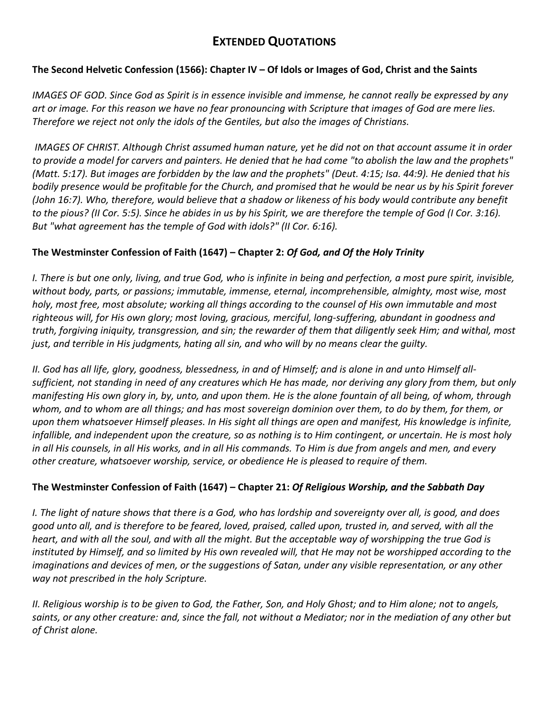# **EXTENDED QUOTATIONS**

### **The Second Helvetic Confession (1566): Chapter IV – Of Idols or Images of God, Christ and the Saints**

*IMAGES OF GOD. Since God as Spirit is in essence invisible and immense, he cannot really be expressed by any art or image. For this reason we have no fear pronouncing with Scripture that images of God are mere lies. Therefore we reject not only the idols of the Gentiles, but also the images of Christians.* 

*IMAGES OF CHRIST. Although Christ assumed human nature, yet he did not on that account assume it in order to provide a model for carvers and painters. He denied that he had come "to abolish the law and the prophets" (Matt. 5:17). But images are forbidden by the law and the prophets" (Deut. 4:15; Isa. 44:9). He denied that his bodily presence would be profitable for the Church, and promised that he would be near us by his Spirit forever (John 16:7). Who, therefore, would believe that a shadow or likeness of his body would contribute any benefit*  to the pious? (II Cor. 5:5). Since he abides in us by his Spirit, we are therefore the temple of God (I Cor. 3:16). *But "what agreement has the temple of God with idols?" (II Cor. 6:16).*

### **The Westminster Confession of Faith (1647) – Chapter 2:** *Of God, and Of the Holy Trinity*

*I. There is but one only, living, and true God, who is infinite in being and perfection, a most pure spirit, invisible, without body, parts, or passions; immutable, immense, eternal, incomprehensible, almighty, most wise, most holy, most free, most absolute; working all things according to the counsel of His own immutable and most righteous will, for His own glory; most loving, gracious, merciful, long-suffering, abundant in goodness and truth, forgiving iniquity, transgression, and sin; the rewarder of them that diligently seek Him; and withal, most just, and terrible in His judgments, hating all sin, and who will by no means clear the guilty.*

*II. God has all life, glory, goodness, blessedness, in and of Himself; and is alone in and unto Himself allsufficient, not standing in need of any creatures which He has made, nor deriving any glory from them, but only manifesting His own glory in, by, unto, and upon them. He is the alone fountain of all being, of whom, through whom, and to whom are all things; and has most sovereign dominion over them, to do by them, for them, or upon them whatsoever Himself pleases. In His sight all things are open and manifest, His knowledge is infinite, infallible, and independent upon the creature, so as nothing is to Him contingent, or uncertain. He is most holy in all His counsels, in all His works, and in all His commands. To Him is due from angels and men, and every other creature, whatsoever worship, service, or obedience He is pleased to require of them.*

### **The Westminster Confession of Faith (1647) – Chapter 21:** *Of Religious Worship, and the Sabbath Day*

*I. The light of nature shows that there is a God, who has lordship and sovereignty over all, is good, and does good unto all, and is therefore to be feared, loved, praised, called upon, trusted in, and served, with all the heart, and with all the soul, and with all the might. But the acceptable way of worshipping the true God is instituted by Himself, and so limited by His own revealed will, that He may not be worshipped according to the imaginations and devices of men, or the suggestions of Satan, under any visible representation, or any other way not prescribed in the holy Scripture.*

*II. Religious worship is to be given to God, the Father, Son, and Holy Ghost; and to Him alone; not to angels, saints, or any other creature: and, since the fall, not without a Mediator; nor in the mediation of any other but of Christ alone.*